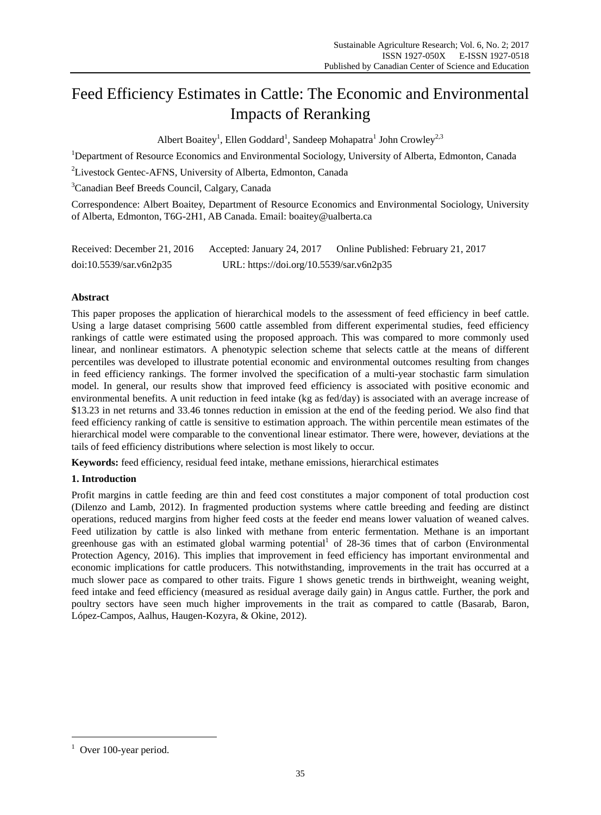# Feed Efficiency Estimates in Cattle: The Economic and Environmental Impacts of Reranking

Albert Boaitey<sup>1</sup>, Ellen Goddard<sup>1</sup>, Sandeep Mohapatra<sup>1</sup> John Crowley<sup>2,3</sup>

<sup>1</sup>Department of Resource Economics and Environmental Sociology, University of Alberta, Edmonton, Canada

<sup>2</sup>Livestock Gentec-AFNS, University of Alberta, Edmonton, Canada

<sup>3</sup>Canadian Beef Breeds Council, Calgary, Canada

Correspondence: Albert Boaitey, Department of Resource Economics and Environmental Sociology, University of Alberta, Edmonton, T6G-2H1, AB Canada. Email: boaitey@ualberta.ca

| Received: December 21, 2016 | Accepted: January 24, 2017               | Online Published: February 21, 2017 |
|-----------------------------|------------------------------------------|-------------------------------------|
| doi:10.5539/sar.v6n2p35     | URL: https://doi.org/10.5539/sar.v6n2p35 |                                     |

## **Abstract**

This paper proposes the application of hierarchical models to the assessment of feed efficiency in beef cattle. Using a large dataset comprising 5600 cattle assembled from different experimental studies, feed efficiency rankings of cattle were estimated using the proposed approach. This was compared to more commonly used linear, and nonlinear estimators. A phenotypic selection scheme that selects cattle at the means of different percentiles was developed to illustrate potential economic and environmental outcomes resulting from changes in feed efficiency rankings. The former involved the specification of a multi-year stochastic farm simulation model. In general, our results show that improved feed efficiency is associated with positive economic and environmental benefits. A unit reduction in feed intake (kg as fed/day) is associated with an average increase of \$13.23 in net returns and 33.46 tonnes reduction in emission at the end of the feeding period. We also find that feed efficiency ranking of cattle is sensitive to estimation approach. The within percentile mean estimates of the hierarchical model were comparable to the conventional linear estimator. There were, however, deviations at the tails of feed efficiency distributions where selection is most likely to occur.

**Keywords:** feed efficiency, residual feed intake, methane emissions, hierarchical estimates

## **1. Introduction**

Profit margins in cattle feeding are thin and feed cost constitutes a major component of total production cost (Dilenzo and Lamb, 2012). In fragmented production systems where cattle breeding and feeding are distinct operations, reduced margins from higher feed costs at the feeder end means lower valuation of weaned calves. Feed utilization by cattle is also linked with methane from enteric fermentation. Methane is an important greenhouse gas with an estimated global warming potential<sup>1</sup> of  $28-36$  times that of carbon (Environmental Protection Agency, 2016). This implies that improvement in feed efficiency has important environmental and economic implications for cattle producers. This notwithstanding, improvements in the trait has occurred at a much slower pace as compared to other traits. Figure 1 shows genetic trends in birthweight, weaning weight, feed intake and feed efficiency (measured as residual average daily gain) in Angus cattle. Further, the pork and poultry sectors have seen much higher improvements in the trait as compared to cattle (Basarab, Baron, López-Campos, Aalhus, Haugen-Kozyra, & Okine, 2012).

-

 $1$  Over 100-year period.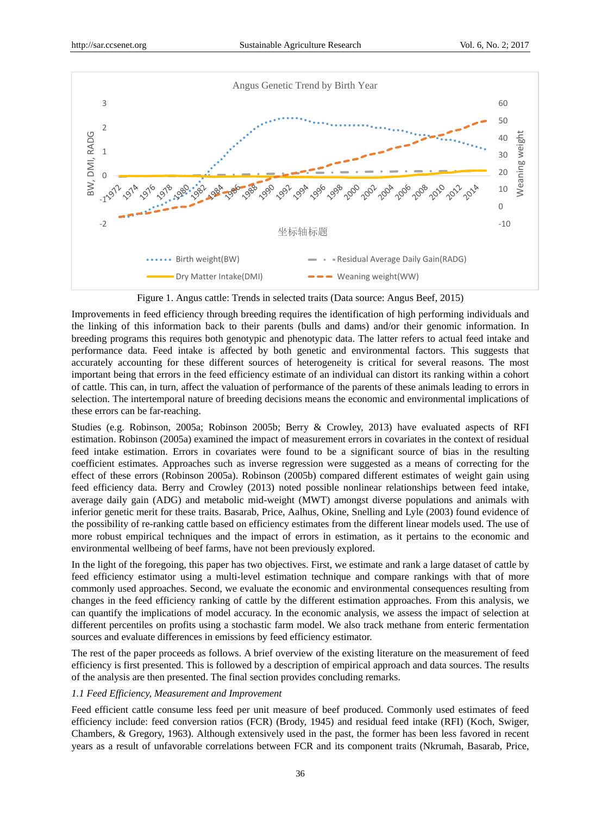

Figure 1. Angus cattle: Trends in selected traits (Data source: Angus Beef, 2015)

Improvements in feed efficiency through breeding requires the identification of high performing individuals and the linking of this information back to their parents (bulls and dams) and/or their genomic information. In breeding programs this requires both genotypic and phenotypic data. The latter refers to actual feed intake and performance data. Feed intake is affected by both genetic and environmental factors. This suggests that accurately accounting for these different sources of heterogeneity is critical for several reasons. The most important being that errors in the feed efficiency estimate of an individual can distort its ranking within a cohort of cattle. This can, in turn, affect the valuation of performance of the parents of these animals leading to errors in selection. The intertemporal nature of breeding decisions means the economic and environmental implications of these errors can be far-reaching.

Studies (e.g. Robinson, 2005a; Robinson 2005b; Berry & Crowley, 2013) have evaluated aspects of RFI estimation. Robinson (2005a) examined the impact of measurement errors in covariates in the context of residual feed intake estimation. Errors in covariates were found to be a significant source of bias in the resulting coefficient estimates. Approaches such as inverse regression were suggested as a means of correcting for the effect of these errors (Robinson 2005a). Robinson (2005b) compared different estimates of weight gain using feed efficiency data. Berry and Crowley (2013) noted possible nonlinear relationships between feed intake, average daily gain (ADG) and metabolic mid-weight (MWT) amongst diverse populations and animals with inferior genetic merit for these traits. Basarab, Price, Aalhus, Okine, Snelling and Lyle (2003) found evidence of the possibility of re-ranking cattle based on efficiency estimates from the different linear models used. The use of more robust empirical techniques and the impact of errors in estimation, as it pertains to the economic and environmental wellbeing of beef farms, have not been previously explored.

In the light of the foregoing, this paper has two objectives. First, we estimate and rank a large dataset of cattle by feed efficiency estimator using a multi-level estimation technique and compare rankings with that of more commonly used approaches. Second, we evaluate the economic and environmental consequences resulting from changes in the feed efficiency ranking of cattle by the different estimation approaches. From this analysis, we can quantify the implications of model accuracy. In the economic analysis, we assess the impact of selection at different percentiles on profits using a stochastic farm model. We also track methane from enteric fermentation sources and evaluate differences in emissions by feed efficiency estimator.

The rest of the paper proceeds as follows. A brief overview of the existing literature on the measurement of feed efficiency is first presented. This is followed by a description of empirical approach and data sources. The results of the analysis are then presented. The final section provides concluding remarks.

#### *1.1 Feed Efficiency, Measurement and Improvement*

Feed efficient cattle consume less feed per unit measure of beef produced. Commonly used estimates of feed efficiency include: feed conversion ratios (FCR) (Brody, 1945) and residual feed intake (RFI) (Koch, Swiger, Chambers, & Gregory, 1963). Although extensively used in the past, the former has been less favored in recent years as a result of unfavorable correlations between FCR and its component traits (Nkrumah, Basarab, Price,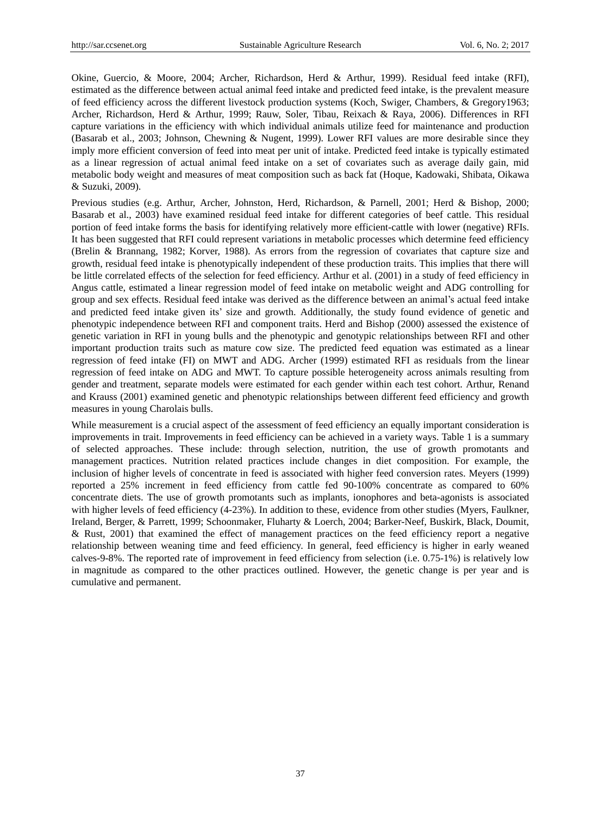Okine, Guercio, & Moore, 2004; Archer, Richardson, Herd & Arthur, 1999). Residual feed intake (RFI), estimated as the difference between actual animal feed intake and predicted feed intake, is the prevalent measure of feed efficiency across the different livestock production systems (Koch, Swiger, Chambers, & Gregory1963; Archer, Richardson, Herd & Arthur, 1999; Rauw, Soler, Tibau, Reixach & Raya, 2006). Differences in RFI capture variations in the efficiency with which individual animals utilize feed for maintenance and production (Basarab et al., 2003; Johnson, Chewning & Nugent, 1999). Lower RFI values are more desirable since they imply more efficient conversion of feed into meat per unit of intake. Predicted feed intake is typically estimated as a linear regression of actual animal feed intake on a set of covariates such as average daily gain, mid metabolic body weight and measures of meat composition such as back fat (Hoque, Kadowaki, Shibata, Oikawa & Suzuki, 2009).

Previous studies (e.g. Arthur, Archer, Johnston, Herd, Richardson, & Parnell, 2001; Herd & Bishop, 2000; Basarab et al., 2003) have examined residual feed intake for different categories of beef cattle. This residual portion of feed intake forms the basis for identifying relatively more efficient-cattle with lower (negative) RFIs. It has been suggested that RFI could represent variations in metabolic processes which determine feed efficiency (Brelin & Brannang, 1982; Korver, 1988). As errors from the regression of covariates that capture size and growth, residual feed intake is phenotypically independent of these production traits. This implies that there will be little correlated effects of the selection for feed efficiency. Arthur et al. (2001) in a study of feed efficiency in Angus cattle, estimated a linear regression model of feed intake on metabolic weight and ADG controlling for group and sex effects. Residual feed intake was derived as the difference between an animal's actual feed intake and predicted feed intake given its' size and growth. Additionally, the study found evidence of genetic and phenotypic independence between RFI and component traits. Herd and Bishop (2000) assessed the existence of genetic variation in RFI in young bulls and the phenotypic and genotypic relationships between RFI and other important production traits such as mature cow size. The predicted feed equation was estimated as a linear regression of feed intake (FI) on MWT and ADG. Archer (1999) estimated RFI as residuals from the linear regression of feed intake on ADG and MWT. To capture possible heterogeneity across animals resulting from gender and treatment, separate models were estimated for each gender within each test cohort. Arthur, Renand and Krauss (2001) examined genetic and phenotypic relationships between different feed efficiency and growth measures in young Charolais bulls.

While measurement is a crucial aspect of the assessment of feed efficiency an equally important consideration is improvements in trait. Improvements in feed efficiency can be achieved in a variety ways. Table 1 is a summary of selected approaches. These include: through selection, nutrition, the use of growth promotants and management practices. Nutrition related practices include changes in diet composition. For example, the inclusion of higher levels of concentrate in feed is associated with higher feed conversion rates. Meyers (1999) reported a 25% increment in feed efficiency from cattle fed 90-100% concentrate as compared to 60% concentrate diets. The use of growth promotants such as implants, ionophores and beta-agonists is associated with higher levels of feed efficiency (4-23%). In addition to these, evidence from other studies (Myers, Faulkner, Ireland, Berger, & Parrett, 1999; Schoonmaker, Fluharty & Loerch, 2004; Barker-Neef, Buskirk, Black, Doumit, & Rust, 2001) that examined the effect of management practices on the feed efficiency report a negative relationship between weaning time and feed efficiency. In general, feed efficiency is higher in early weaned calves-9-8%. The reported rate of improvement in feed efficiency from selection (i.e. 0.75-1%) is relatively low in magnitude as compared to the other practices outlined. However, the genetic change is per year and is cumulative and permanent.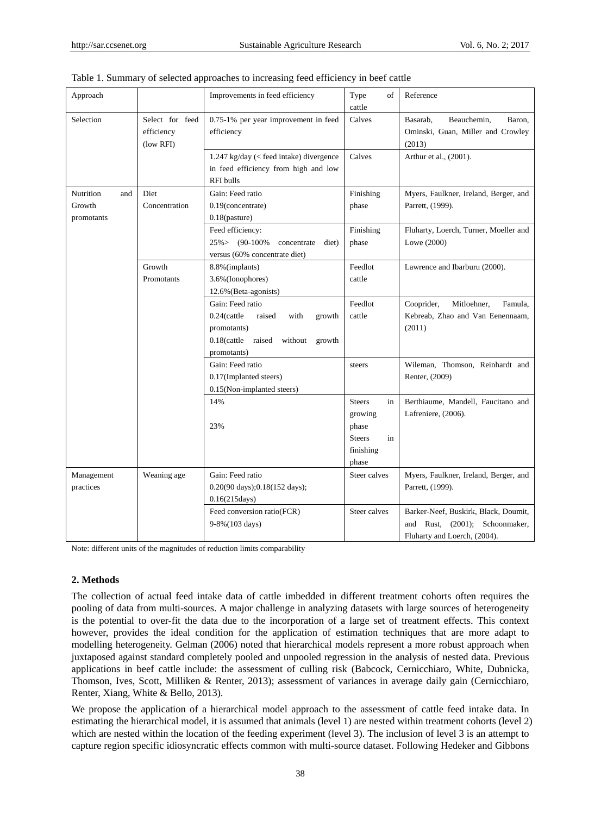| Approach                                 |                                            | Improvements in feed efficiency                                                                                                               | Type<br>of<br>cattle                                                                 | Reference                                                                                                 |
|------------------------------------------|--------------------------------------------|-----------------------------------------------------------------------------------------------------------------------------------------------|--------------------------------------------------------------------------------------|-----------------------------------------------------------------------------------------------------------|
| Selection                                | Select for feed<br>efficiency<br>(low RFI) | 0.75-1% per year improvement in feed<br>efficiency                                                                                            | Calves                                                                               | Basarab.<br>Beauchemin,<br>Baron.<br>Ominski, Guan, Miller and Crowley<br>(2013)                          |
|                                          |                                            | 1.247 kg/day (< feed intake) divergence<br>in feed efficiency from high and low<br>RFI bulls                                                  | Calves                                                                               | Arthur et al., (2001).                                                                                    |
| Nutrition<br>and<br>Growth<br>promotants | Diet<br>Concentration                      | Gain: Feed ratio<br>0.19(concentrate)<br>$0.18$ (pasture)                                                                                     | Finishing<br>phase                                                                   | Myers, Faulkner, Ireland, Berger, and<br>Parrett, (1999).                                                 |
|                                          |                                            | Feed efficiency:<br>25%> (90-100%)<br>concentrate<br>diet)<br>versus (60% concentrate diet)                                                   | Finishing<br>phase                                                                   | Fluharty, Loerch, Turner, Moeller and<br>Lowe (2000)                                                      |
|                                          | Growth<br>Promotants                       | 8.8% (implants)<br>3.6% (Ionophores)<br>12.6% (Beta-agonists)                                                                                 | Feedlot<br>cattle                                                                    | Lawrence and Ibarburu (2000).                                                                             |
|                                          |                                            | Gain: Feed ratio<br>$0.24$ (cattle<br>raised<br>with<br>growth<br>promotants)<br>$0.18$ (cattle<br>raised<br>without<br>growth<br>promotants) | Feedlot<br>cattle                                                                    | Cooprider,<br>Mitloehner,<br>Famula,<br>Kebreab, Zhao and Van Eenennaam,<br>(2011)                        |
|                                          |                                            | Gain: Feed ratio<br>0.17(Implanted steers)<br>0.15(Non-implanted steers)                                                                      | steers                                                                               | Wileman, Thomson, Reinhardt and<br>Renter, (2009)                                                         |
|                                          |                                            | 14%<br>23%                                                                                                                                    | <b>Steers</b><br>in<br>growing<br>phase<br><b>Steers</b><br>in<br>finishing<br>phase | Berthiaume, Mandell, Faucitano and<br>Lafreniere, (2006).                                                 |
| Management<br>Weaning age<br>practices   |                                            | Gain: Feed ratio<br>$0.20(90 \text{ days})$ ; $0.18(152 \text{ days})$ ;<br>0.16(215days)                                                     | Steer calves                                                                         | Myers, Faulkner, Ireland, Berger, and<br>Parrett, (1999).                                                 |
|                                          |                                            | Feed conversion ratio(FCR)<br>9-8%(103 days)                                                                                                  | Steer calves                                                                         | Barker-Neef, Buskirk, Black, Doumit,<br>Rust, (2001); Schoonmaker,<br>and<br>Fluharty and Loerch, (2004). |

Note: different units of the magnitudes of reduction limits comparability

### **2. Methods**

The collection of actual feed intake data of cattle imbedded in different treatment cohorts often requires the pooling of data from multi-sources. A major challenge in analyzing datasets with large sources of heterogeneity is the potential to over-fit the data due to the incorporation of a large set of treatment effects. This context however, provides the ideal condition for the application of estimation techniques that are more adapt to modelling heterogeneity. Gelman (2006) noted that hierarchical models represent a more robust approach when juxtaposed against standard completely pooled and unpooled regression in the analysis of nested data. Previous applications in beef cattle include: the assessment of culling risk (Babcock, Cernicchiaro, White, Dubnicka, Thomson, Ives, Scott, Milliken & Renter, 2013); assessment of variances in average daily gain (Cernicchiaro, Renter, Xiang, White & Bello, 2013).

We propose the application of a hierarchical model approach to the assessment of cattle feed intake data. In estimating the hierarchical model, it is assumed that animals (level 1) are nested within treatment cohorts (level 2) which are nested within the location of the feeding experiment (level 3). The inclusion of level 3 is an attempt to capture region specific idiosyncratic effects common with multi-source dataset. Following Hedeker and Gibbons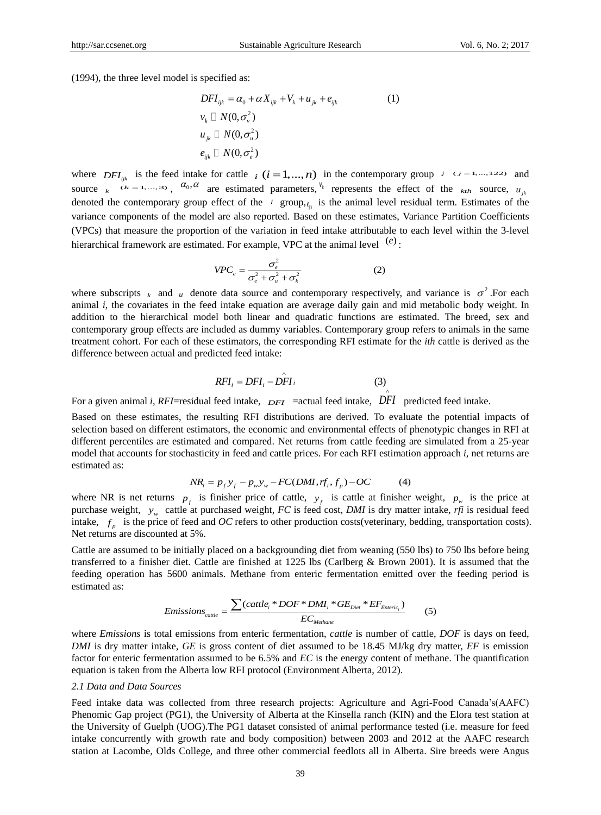(1994), the three level model is specified as:

$$
DFI_{ijk} = \alpha_0 + \alpha X_{ijk} + V_k + u_{jk} + e_{ijk}
$$
  
\n
$$
v_k \square N(0, \sigma_v^2)
$$
  
\n
$$
u_{jk} \square N(0, \sigma_u^2)
$$
  
\n
$$
e_{ijk} \square N(0, \sigma_e^2)
$$
 (1)

where  $DFI_{ijk}$  is the feed intake for cattle *i*  $(i = 1, ..., n)$  in the contemporary group *j*  $(j = 1, ..., 122)$  and source  $\kappa^{(k-1,...,3)}$ ,  $\alpha_0, \alpha$  are estimated parameters,  $v_k$  represents the effect of the  $kth$  source,  $u_{jk}$ denoted the contemporary group effect of the *j* group,  $e_{ijk}$  is the animal level residual term. Estimates of the variance components of the model are also reported. Based on these estimates, Variance Partition Coefficients (VPCs) that measure the proportion of the variation in feed intake attributable to each level within the 3-level hierarchical framework are estimated. For example, VPC at the animal level <sup>(e)</sup>:

$$
VPC_e = \frac{\sigma_e^2}{\sigma_e^2 + \sigma_u^2 + \sigma_k^2}
$$
 (2)

where subscripts  $\kappa$  and  $\mu$  denote data source and contemporary respectively, and variance is  $\sigma^2$ . For each animal *i*, the covariates in the feed intake equation are average daily gain and mid metabolic body weight. In addition to the hierarchical model both linear and quadratic functions are estimated. The breed, sex and contemporary group effects are included as dummy variables. Contemporary group refers to animals in the same treatment cohort. For each of these estimators, the corresponding RFI estimate for the *ith* cattle is derived as the difference between actual and predicted feed intake:

$$
RFI_i = DFI_i - D\hat{F}I_i
$$
 (3)

For a given animal *i*, *RFI*=residual feed intake,  $\overrightarrow{DFI}$  =actual feed intake,  $\overrightarrow{DFI}$  predicted feed intake.

 $\lambda$ 

Based on these estimates, the resulting RFI distributions are derived. To evaluate the potential impacts of selection based on different estimators, the economic and environmental effects of phenotypic changes in RFI at different percentiles are estimated and compared. Net returns from cattle feeding are simulated from a 25-year model that accounts for stochasticity in feed and cattle prices. For each RFI estimation approach *i,* net returns are estimated as:  $NR_i = p_f y_f - p_w y_w - FC(DMI, rf_i, f_p) - OC$  (4)  $= p_f y_f - p_w y_w - FC(DMI, rf_i, f_p) - OC$ 

$$
VR_{i} = p_{f} y_{f} - p_{w} y_{w} - FC(DMI, rf_{i}, f_{p}) - OC
$$
 (4)

where NR is net returns  $p_f$  is finisher price of cattle,  $y_f$  is cattle at finisher weight,  $p_w$  is the price at purchase weight, *w y* cattle at purchased weight, *FC* is feed cost, *DMI* is dry matter intake, *rfi* is residual feed intake,  $f_p$  is the price of feed and *OC* refers to other production costs(veterinary, bedding, transportation costs). Net returns are discounted at 5%.

Cattle are assumed to be initially placed on a backgrounding diet from weaning (550 lbs) to 750 lbs before being transferred to a finisher diet. Cattle are finished at 1225 lbs (Carlberg & Brown 2001). It is assumed that the feeding operation has 5600 animals. Methane from enteric fermentation emitted over the feeding period is estimated as:

$$
Emissionscentre = \frac{\sum (cattle_i * DOF * DMI_i * GEDie * EFEnetcii)}{ECMethod}
$$
 (5)

where *Emissions* is total emissions from enteric fermentation, *cattle* is number of cattle, *DOF* is days on feed, *DMI* is dry matter intake, *GE* is gross content of diet assumed to be 18.45 MJ/kg dry matter, *EF* is emission factor for enteric fermentation assumed to be 6.5% and *EC* is the energy content of methane. The quantification equation is taken from the Alberta low RFI protocol (Environment Alberta, 2012).

#### *2.1 Data and Data Sources*

Feed intake data was collected from three research projects: Agriculture and Agri-Food Canada's(AAFC) Phenomic Gap project (PG1), the University of Alberta at the Kinsella ranch (KIN) and the Elora test station at the University of Guelph (UOG).The PG1 dataset consisted of animal performance tested (i.e. measure for feed intake concurrently with growth rate and body composition) between 2003 and 2012 at the AAFC research station at Lacombe, Olds College, and three other commercial feedlots all in Alberta. Sire breeds were Angus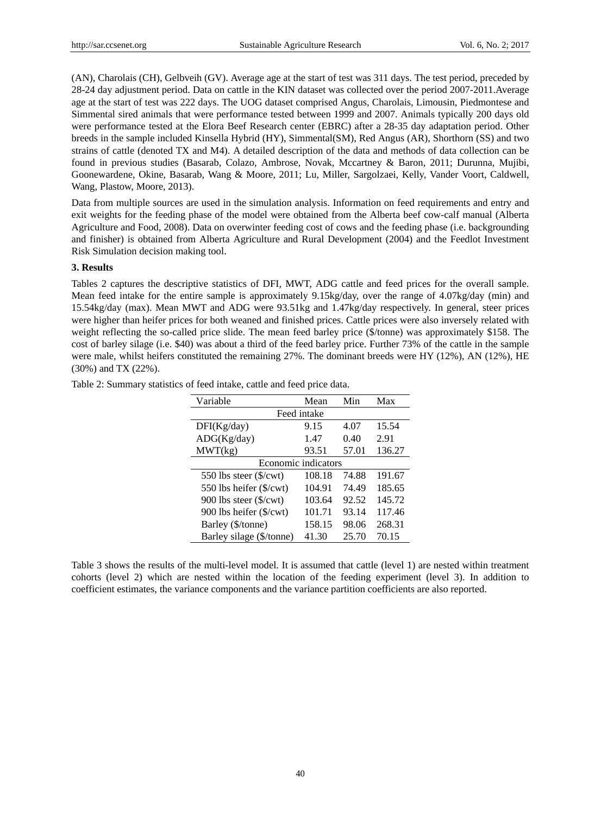(AN), Charolais (CH), Gelbveih (GV). Average age at the start of test was 311 days. The test period, preceded by 28-24 day adjustment period. Data on cattle in the KIN dataset was collected over the period 2007-2011.Average age at the start of test was 222 days. The UOG dataset comprised Angus, Charolais, Limousin, Piedmontese and Simmental sired animals that were performance tested between 1999 and 2007. Animals typically 200 days old were performance tested at the Elora Beef Research center (EBRC) after a 28-35 day adaptation period. Other breeds in the sample included Kinsella Hybrid (HY), Simmental(SM), Red Angus (AR), Shorthorn (SS) and two strains of cattle (denoted TX and M4). A detailed description of the data and methods of data collection can be found in previous studies (Basarab, Colazo, Ambrose, Novak, Mccartney & Baron, 2011; Durunna, Mujibi, Goonewardene, Okine, Basarab, Wang & Moore, 2011; Lu, Miller, Sargolzaei, Kelly, Vander Voort, Caldwell, Wang, Plastow, Moore, 2013).

Data from multiple sources are used in the simulation analysis. Information on feed requirements and entry and exit weights for the feeding phase of the model were obtained from the Alberta beef cow-calf manual (Alberta Agriculture and Food, 2008). Data on overwinter feeding cost of cows and the feeding phase (i.e. backgrounding and finisher) is obtained from Alberta Agriculture and Rural Development (2004) and the Feedlot Investment Risk Simulation decision making tool.

#### **3. Results**

Tables 2 captures the descriptive statistics of DFI, MWT, ADG cattle and feed prices for the overall sample. Mean feed intake for the entire sample is approximately 9.15kg/day, over the range of 4.07kg/day (min) and 15.54kg/day (max). Mean MWT and ADG were 93.51kg and 1.47kg/day respectively. In general, steer prices were higher than heifer prices for both weaned and finished prices. Cattle prices were also inversely related with weight reflecting the so-called price slide. The mean feed barley price (\$/tonne) was approximately \$158. The cost of barley silage (i.e. \$40) was about a third of the feed barley price. Further 73% of the cattle in the sample were male, whilst heifers constituted the remaining 27%. The dominant breeds were HY (12%), AN (12%), HE (30%) and TX (22%).

| Variable                 | Mean   | Min   | Max    |  |  |  |
|--------------------------|--------|-------|--------|--|--|--|
| Feed intake              |        |       |        |  |  |  |
| DFI(Kg/day)              | 9.15   | 4.07  | 15.54  |  |  |  |
| ADG(Kg/day)              | 1.47   | 0.40  | 2.91   |  |  |  |
| MWT(kg)                  | 93.51  | 57.01 | 136.27 |  |  |  |
| Economic indicators      |        |       |        |  |  |  |
| 550 lbs steer (\$/cwt)   | 108.18 | 74.88 | 191.67 |  |  |  |
| 550 lbs heifer (\$/cwt)  | 104.91 | 74.49 | 185.65 |  |  |  |
| 900 lbs steer (\$/cwt)   | 103.64 | 92.52 | 145.72 |  |  |  |
| 900 lbs heifer (\$/cwt)  | 101.71 | 93.14 | 117.46 |  |  |  |
| Barley (\$/tonne)        | 158.15 | 98.06 | 268.31 |  |  |  |
| Barley silage (\$/tonne) | 41.30  | 25.70 | 70.15  |  |  |  |

Table 2: Summary statistics of feed intake, cattle and feed price data.

Table 3 shows the results of the multi-level model. It is assumed that cattle (level 1) are nested within treatment cohorts (level 2) which are nested within the location of the feeding experiment (level 3). In addition to coefficient estimates, the variance components and the variance partition coefficients are also reported.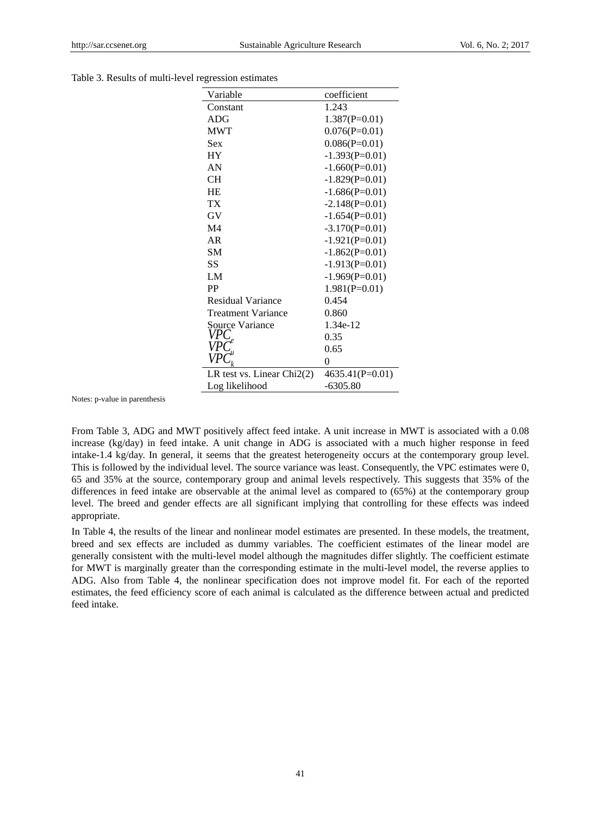|  |  | Table 3. Results of multi-level regression estimates |  |
|--|--|------------------------------------------------------|--|
|  |  |                                                      |  |

| Variable                     | coefficient       |
|------------------------------|-------------------|
| Constant                     | 1.243             |
| ADG                          | $1.387(P=0.01)$   |
| <b>MWT</b>                   | $0.076(P=0.01)$   |
| Sex                          | $0.086(P=0.01)$   |
| <b>HY</b>                    | $-1.393(P=0.01)$  |
| AN                           | $-1.660(P=0.01)$  |
| <b>CH</b>                    | $-1.829(P=0.01)$  |
| HE                           | $-1.686(P=0.01)$  |
| TX                           | $-2.148(P=0.01)$  |
| GV                           | $-1.654(P=0.01)$  |
| M <sub>4</sub>               | $-3.170(P=0.01)$  |
| AR                           | $-1.921(P=0.01)$  |
| <b>SM</b>                    | $-1.862(P=0.01)$  |
| SS                           | $-1.913(P=0.01)$  |
| LM                           | $-1.969(P=0.01)$  |
| <b>PP</b>                    | $1.981(P=0.01)$   |
| Residual Variance            | 0.454             |
| Treatment Variance           | 0.860             |
| Source Variance              | 1.34e-12          |
|                              | 0.35              |
|                              | 0.65              |
|                              | 0                 |
| LR test vs. Linear $Chi2(2)$ | $4635.41(P=0.01)$ |
| Log likelihood               | $-6305.80$        |

Notes: p-value in parenthesis

From Table 3, ADG and MWT positively affect feed intake. A unit increase in MWT is associated with a 0.08 increase (kg/day) in feed intake. A unit change in ADG is associated with a much higher response in feed intake-1.4 kg/day. In general, it seems that the greatest heterogeneity occurs at the contemporary group level. This is followed by the individual level. The source variance was least. Consequently, the VPC estimates were 0, 65 and 35% at the source, contemporary group and animal levels respectively. This suggests that 35% of the differences in feed intake are observable at the animal level as compared to (65%) at the contemporary group level. The breed and gender effects are all significant implying that controlling for these effects was indeed appropriate.

In Table 4, the results of the linear and nonlinear model estimates are presented. In these models, the treatment, breed and sex effects are included as dummy variables. The coefficient estimates of the linear model are generally consistent with the multi-level model although the magnitudes differ slightly. The coefficient estimate for MWT is marginally greater than the corresponding estimate in the multi-level model, the reverse applies to ADG. Also from Table 4, the nonlinear specification does not improve model fit. For each of the reported estimates, the feed efficiency score of each animal is calculated as the difference between actual and predicted feed intake.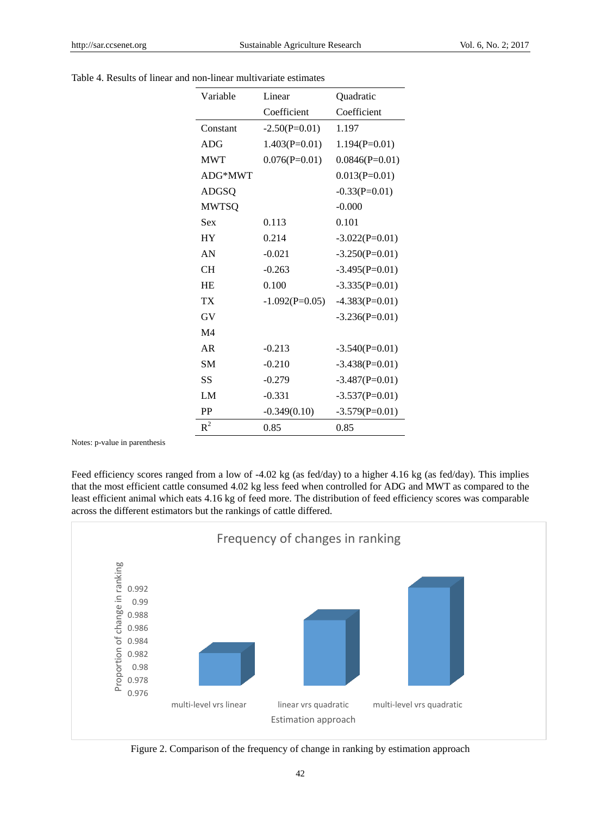| Variable       | Linear           | Quadratic        |  |
|----------------|------------------|------------------|--|
|                | Coefficient      | Coefficient      |  |
| Constant       | $-2.50(P=0.01)$  | 1.197            |  |
| <b>ADG</b>     | $1.403(P=0.01)$  | $1.194(P=0.01)$  |  |
| <b>MWT</b>     | $0.076(P=0.01)$  | $0.0846(P=0.01)$ |  |
| ADG*MWT        |                  | $0.013(P=0.01)$  |  |
| <b>ADGSQ</b>   |                  | $-0.33(P=0.01)$  |  |
| <b>MWTSQ</b>   |                  | $-0.000$         |  |
| Sex            | 0.113            | 0.101            |  |
| HY             | 0.214            | $-3.022(P=0.01)$ |  |
| AN             | $-0.021$         | $-3.250(P=0.01)$ |  |
| СH             | $-0.263$         | $-3.495(P=0.01)$ |  |
| <b>HE</b>      | 0.100            | $-3.335(P=0.01)$ |  |
| <b>TX</b>      | $-1.092(P=0.05)$ | $-4.383(P=0.01)$ |  |
| GV             |                  | $-3.236(P=0.01)$ |  |
| M <sub>4</sub> |                  |                  |  |
| AR             | $-0.213$         | $-3.540(P=0.01)$ |  |
| <b>SM</b>      | $-0.210$         | $-3.438(P=0.01)$ |  |
| SS             | $-0.279$         | $-3.487(P=0.01)$ |  |
| LM             | $-0.331$         | $-3.537(P=0.01)$ |  |
| PP             | $-0.349(0.10)$   | $-3.579(P=0.01)$ |  |
| $R^2$          | 0.85             | 0.85             |  |

Table 4. Results of linear and non-linear multivariate estimates

Notes: p-value in parenthesis

Feed efficiency scores ranged from a low of -4.02 kg (as fed/day) to a higher 4.16 kg (as fed/day). This implies that the most efficient cattle consumed 4.02 kg less feed when controlled for ADG and MWT as compared to the least efficient animal which eats 4.16 kg of feed more. The distribution of feed efficiency scores was comparable across the different estimators but the rankings of cattle differed.



Figure 2. Comparison of the frequency of change in ranking by estimation approach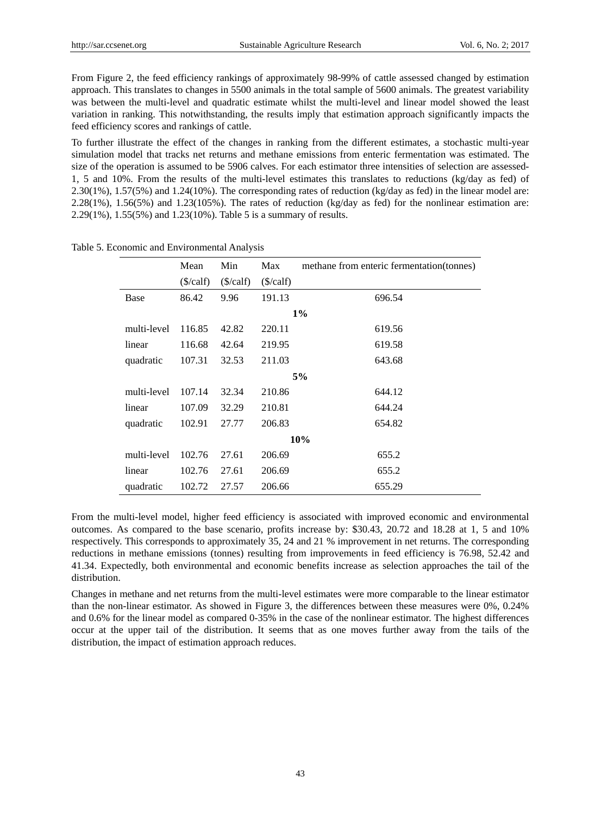From Figure 2, the feed efficiency rankings of approximately 98-99% of cattle assessed changed by estimation approach. This translates to changes in 5500 animals in the total sample of 5600 animals. The greatest variability was between the multi-level and quadratic estimate whilst the multi-level and linear model showed the least variation in ranking. This notwithstanding, the results imply that estimation approach significantly impacts the feed efficiency scores and rankings of cattle.

To further illustrate the effect of the changes in ranking from the different estimates, a stochastic multi-year simulation model that tracks net returns and methane emissions from enteric fermentation was estimated. The size of the operation is assumed to be 5906 calves. For each estimator three intensities of selection are assessed-1, 5 and 10%. From the results of the multi-level estimates this translates to reductions (kg/day as fed) of 2.30(1%), 1.57(5%) and 1.24(10%). The corresponding rates of reduction (kg/day as fed) in the linear model are: 2.28(1%), 1.56(5%) and 1.23(105%). The rates of reduction (kg/day as fed) for the nonlinear estimation are: 2.29(1%), 1.55(5%) and 1.23(10%). Table 5 is a summary of results.

|             | Mean     | Min      | Max      | methane from enteric fermentation (tonnes) |  |
|-------------|----------|----------|----------|--------------------------------------------|--|
|             | (S/calf) | (S/calf) | (S/calf) |                                            |  |
| Base        | 86.42    | 9.96     | 191.13   | 696.54                                     |  |
|             |          |          |          | $1\%$                                      |  |
| multi-level | 116.85   | 42.82    | 220.11   | 619.56                                     |  |
| linear      | 116.68   | 42.64    | 219.95   | 619.58                                     |  |
| quadratic   | 107.31   | 32.53    | 211.03   | 643.68                                     |  |
| 5%          |          |          |          |                                            |  |
| multi-level | 107.14   | 32.34    | 210.86   | 644.12                                     |  |
| linear      | 107.09   | 32.29    | 210.81   | 644.24                                     |  |
| quadratic   | 102.91   | 27.77    | 206.83   | 654.82                                     |  |
| 10%         |          |          |          |                                            |  |
| multi-level | 102.76   | 27.61    | 206.69   | 655.2                                      |  |
| linear      | 102.76   | 27.61    | 206.69   | 655.2                                      |  |
| quadratic   | 102.72   | 27.57    | 206.66   | 655.29                                     |  |

Table 5. Economic and Environmental Analysis

From the multi-level model, higher feed efficiency is associated with improved economic and environmental outcomes. As compared to the base scenario, profits increase by: \$30.43, 20.72 and 18.28 at 1, 5 and 10% respectively. This corresponds to approximately 35, 24 and 21 % improvement in net returns. The corresponding reductions in methane emissions (tonnes) resulting from improvements in feed efficiency is 76.98, 52.42 and 41.34. Expectedly, both environmental and economic benefits increase as selection approaches the tail of the distribution.

Changes in methane and net returns from the multi-level estimates were more comparable to the linear estimator than the non-linear estimator. As showed in Figure 3, the differences between these measures were 0%, 0.24% and 0.6% for the linear model as compared 0-35% in the case of the nonlinear estimator. The highest differences occur at the upper tail of the distribution. It seems that as one moves further away from the tails of the distribution, the impact of estimation approach reduces.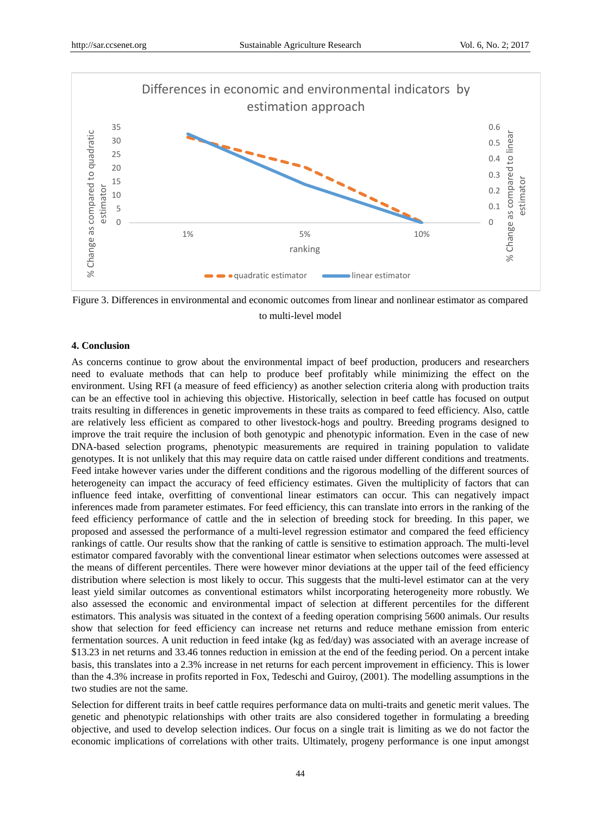

Figure 3. Differences in environmental and economic outcomes from linear and nonlinear estimator as compared to multi-level model

## **4. Conclusion**

As concerns continue to grow about the environmental impact of beef production, producers and researchers need to evaluate methods that can help to produce beef profitably while minimizing the effect on the environment. Using RFI (a measure of feed efficiency) as another selection criteria along with production traits can be an effective tool in achieving this objective. Historically, selection in beef cattle has focused on output traits resulting in differences in genetic improvements in these traits as compared to feed efficiency. Also, cattle are relatively less efficient as compared to other livestock-hogs and poultry. Breeding programs designed to improve the trait require the inclusion of both genotypic and phenotypic information. Even in the case of new DNA-based selection programs, phenotypic measurements are required in training population to validate genotypes. It is not unlikely that this may require data on cattle raised under different conditions and treatments. Feed intake however varies under the different conditions and the rigorous modelling of the different sources of heterogeneity can impact the accuracy of feed efficiency estimates. Given the multiplicity of factors that can influence feed intake, overfitting of conventional linear estimators can occur. This can negatively impact inferences made from parameter estimates. For feed efficiency, this can translate into errors in the ranking of the feed efficiency performance of cattle and the in selection of breeding stock for breeding. In this paper, we proposed and assessed the performance of a multi-level regression estimator and compared the feed efficiency rankings of cattle. Our results show that the ranking of cattle is sensitive to estimation approach. The multi-level estimator compared favorably with the conventional linear estimator when selections outcomes were assessed at the means of different percentiles. There were however minor deviations at the upper tail of the feed efficiency distribution where selection is most likely to occur. This suggests that the multi-level estimator can at the very least yield similar outcomes as conventional estimators whilst incorporating heterogeneity more robustly. We also assessed the economic and environmental impact of selection at different percentiles for the different estimators. This analysis was situated in the context of a feeding operation comprising 5600 animals. Our results show that selection for feed efficiency can increase net returns and reduce methane emission from enteric fermentation sources. A unit reduction in feed intake (kg as fed/day) was associated with an average increase of \$13.23 in net returns and 33.46 tonnes reduction in emission at the end of the feeding period. On a percent intake basis, this translates into a 2.3% increase in net returns for each percent improvement in efficiency. This is lower than the 4.3% increase in profits reported in Fox, Tedeschi and Guiroy, (2001). The modelling assumptions in the two studies are not the same.

Selection for different traits in beef cattle requires performance data on multi-traits and genetic merit values. The genetic and phenotypic relationships with other traits are also considered together in formulating a breeding objective, and used to develop selection indices. Our focus on a single trait is limiting as we do not factor the economic implications of correlations with other traits. Ultimately, progeny performance is one input amongst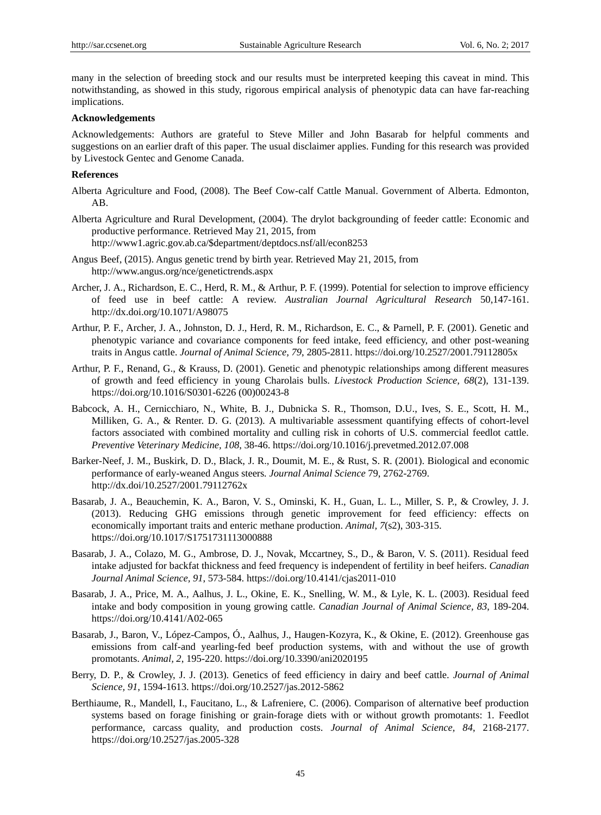many in the selection of breeding stock and our results must be interpreted keeping this caveat in mind. This notwithstanding, as showed in this study, rigorous empirical analysis of phenotypic data can have far-reaching implications.

#### **Acknowledgements**

Acknowledgements: Authors are grateful to Steve Miller and John Basarab for helpful comments and suggestions on an earlier draft of this paper. The usual disclaimer applies. Funding for this research was provided by Livestock Gentec and Genome Canada.

#### **References**

- Alberta Agriculture and Food, (2008). The Beef Cow-calf Cattle Manual. Government of Alberta. Edmonton, AB.
- Alberta Agriculture and Rural Development, (2004). The drylot backgrounding of feeder cattle: Economic and productive performance. Retrieved May 21, 2015, from http://www1.agric.gov.ab.ca/\$department/deptdocs.nsf/all/econ8253
- Angus Beef, (2015). Angus genetic trend by birth year. Retrieved May 21, 2015, from http://www.angus.org/nce/genetictrends.aspx
- Archer, J. A., Richardson, E. C., Herd, R. M., & Arthur, P. F. (1999). Potential for selection to improve efficiency of feed use in beef cattle: A review. *Australian Journal Agricultural Research* 50,147-161. http://dx.doi.org/10.1071/A98075
- Arthur, P. F., Archer, J. A., Johnston, D. J., Herd, R. M., Richardson, E. C., & Parnell, P. F. (2001). Genetic and phenotypic variance and covariance components for feed intake, feed efficiency, and other post-weaning traits in Angus cattle. *Journal of Animal Science, 79*, 2805-2811. https://doi.org/10.2527/2001.79112805x
- Arthur, P. F., Renand, G., & Krauss, D. (2001). Genetic and phenotypic relationships among different measures of growth and feed efficiency in young Charolais bulls. *Livestock Production Science, 68*(2), 131-139. https://doi.org/10.1016/S0301-6226 (00)00243-8
- Babcock, A. H., Cernicchiaro, N., White, B. J., Dubnicka S. R., Thomson, D.U., Ives, S. E., Scott, H. M., Milliken, G. A., & Renter. D. G. (2013). A multivariable assessment quantifying effects of cohort-level factors associated with combined mortality and culling risk in cohorts of U.S. commercial feedlot cattle. *Preventive Veterinary Medicine, 108*, 38-46. https://doi.org/10.1016/j.prevetmed.2012.07.008
- Barker-Neef, J. M., Buskirk, D. D., Black, J. R., Doumit, M. E., & Rust, S. R. (2001). Biological and economic performance of early-weaned Angus steers*. Journal Animal Science* 79, 2762-2769. http://dx.doi/10.2527/2001.79112762x
- Basarab, J. A., Beauchemin, K. A., Baron, V. S., Ominski, K. H., Guan, L. L., Miller, S. P., & Crowley, J. J. (2013). Reducing GHG emissions through genetic improvement for feed efficiency: effects on economically important traits and enteric methane production. *Animal, 7*(s2), 303-315. https://doi.org/10.1017/S1751731113000888
- Basarab, J. A., Colazo, M. G., Ambrose, D. J., Novak, Mccartney, S., D., & Baron, V. S. (2011). Residual feed intake adjusted for backfat thickness and feed frequency is independent of fertility in beef heifers. *Canadian Journal Animal Science, 91*, 573-584. https://doi.org/10.4141/cjas2011-010
- Basarab, J. A., Price, M. A., Aalhus, J. L., Okine, E. K., Snelling, W. M., & Lyle, K. L. (2003). Residual feed intake and body composition in young growing cattle. *Canadian Journal of Animal Science, 83*, 189-204. https://doi.org/10.4141/A02-065
- Basarab, J., Baron, V., López-Campos, Ó., Aalhus, J., Haugen-Kozyra, K., & Okine, E. (2012). Greenhouse gas emissions from calf-and yearling-fed beef production systems, with and without the use of growth promotants. *Animal, 2*, 195-220. https://doi.org/10.3390/ani2020195
- Berry, D. P., & Crowley, J. J. (2013). Genetics of feed efficiency in dairy and beef cattle. *Journal of Animal Science, 91*, 1594-1613. https://doi.org/10.2527/jas.2012-5862
- Berthiaume, R., Mandell, I., Faucitano, L., & Lafreniere, C. (2006). Comparison of alternative beef production systems based on forage finishing or grain-forage diets with or without growth promotants: 1. Feedlot performance, carcass quality, and production costs. *Journal of Animal Science, 84*, 2168-2177. https://doi.org/10.2527/jas.2005-328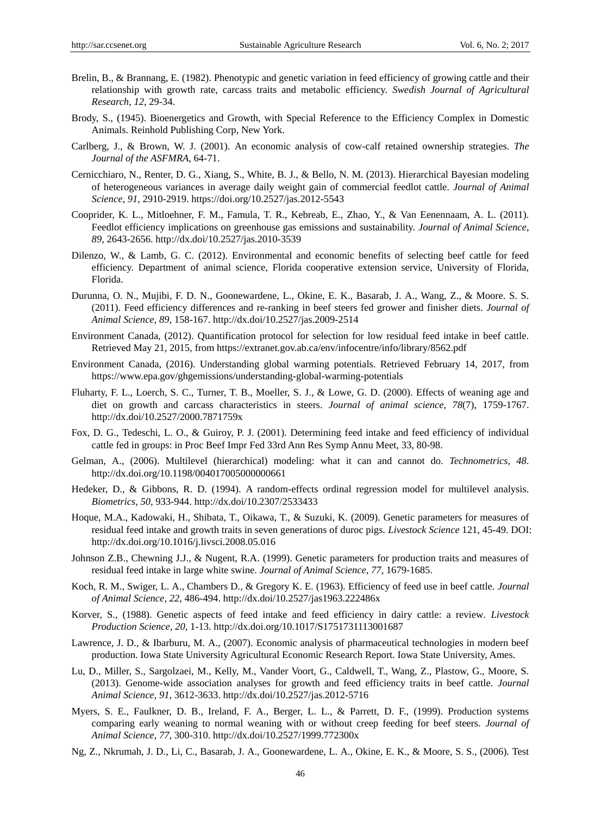- Brelin, B., & Brannang, E. (1982). Phenotypic and genetic variation in feed efficiency of growing cattle and their relationship with growth rate, carcass traits and metabolic efficiency. *Swedish Journal of Agricultural Research, 12*, 29-34.
- Brody, S., (1945). Bioenergetics and Growth, with Special Reference to the Efficiency Complex in Domestic Animals. Reinhold Publishing Corp, New York.
- Carlberg, J., & Brown, W. J. (2001). An economic analysis of cow-calf retained ownership strategies. *The Journal of the ASFMRA*, 64-71.
- Cernicchiaro, N., Renter, D. G., Xiang, S., White, B. J., & Bello, N. M. (2013). Hierarchical Bayesian modeling of heterogeneous variances in average daily weight gain of commercial feedlot cattle. *Journal of Animal Science, 91*, 2910-2919. https://doi.org/10.2527/jas.2012-5543
- Cooprider, K. L., Mitloehner, F. M., Famula, T. R., Kebreab, E., Zhao, Y., & Van Eenennaam, A. L. (2011). Feedlot efficiency implications on greenhouse gas emissions and sustainability. *Journal of Animal Science, 89*, 2643-2656. http://dx.doi/10.2527/jas.2010-3539
- Dilenzo, W., & Lamb, G. C. (2012). Environmental and economic benefits of selecting beef cattle for feed efficiency. Department of animal science, Florida cooperative extension service, University of Florida, Florida.
- Durunna, O. N., Mujibi, F. D. N., Goonewardene, L., Okine, E. K., Basarab, J. A., Wang, Z., & Moore. S. S. (2011). Feed efficiency differences and re-ranking in beef steers fed grower and finisher diets. *Journal of Animal Science, 89*, 158-167. http://dx.doi/10.2527/jas.2009-2514
- Environment Canada, (2012). Quantification protocol for selection for low residual feed intake in beef cattle. Retrieved May 21, 2015, from<https://extranet.gov.ab.ca/env/infocentre/info/library/8562.pdf>
- Environment Canada, (2016). Understanding global warming potentials. Retrieved February 14, 2017, from https://www.epa.gov/ghgemissions/understanding-global-warming-potentials
- Fluharty, F. L., Loerch, S. C., Turner, T. B., Moeller, S. J., & Lowe, G. D. (2000). Effects of weaning age and diet on growth and carcass characteristics in steers. *Journal of animal science, 78*(7), 1759-1767. http://dx.doi/10.2527/2000.7871759x
- Fox, D. G., Tedeschi, L. O., & Guiroy, P. J. (2001). Determining feed intake and feed efficiency of individual cattle fed in groups: in Proc Beef Impr Fed 33rd Ann Res Symp Annu Meet, 33, 80-98.
- Gelman, A., (2006). Multilevel (hierarchical) modeling: what it can and cannot do. *Technometrics*, *48*. http://dx.doi.org/10.1198/004017005000000661
- Hedeker, D., & Gibbons, R. D. (1994). A random-effects ordinal regression model for multilevel analysis. *Biometrics, 50*, 933-944. http://dx.doi/10.2307/2533433
- Hoque, M.A., Kadowaki, H., Shibata, T., Oikawa, T., & Suzuki, K. (2009). Genetic parameters for measures of residual feed intake and growth traits in seven generations of duroc pigs. *Livestock Science* 121, 45-49. DOI: http://dx.doi.org/10.1016/j.livsci.2008.05.016
- Johnson Z.B., Chewning J.J., & Nugent, R.A. (1999). Genetic parameters for production traits and measures of residual feed intake in large white swine. *Journal of Animal Science, 77*, 1679-1685.
- Koch, R. M., Swiger, L. A., Chambers D., & Gregory K. E. (1963). Efficiency of feed use in beef cattle. *Journal of Animal Science, 22*, 486-494. http://dx.doi/10.2527/jas1963.222486x
- Korver, S., (1988). Genetic aspects of feed intake and feed efficiency in dairy cattle: a review*. Livestock Production Science, 20*, 1-13. http://dx.doi.org/10.1017/S1751731113001687
- Lawrence, J. D., & Ibarburu, M. A., (2007). Economic analysis of pharmaceutical technologies in modern beef production. Iowa State University Agricultural Economic Research Report. Iowa State University, Ames.
- Lu, D., Miller, S., Sargolzaei, M., Kelly, M., Vander Voort, G., Caldwell, T., Wang, Z., Plastow, G., Moore, S. (2013). Genome-wide association analyses for growth and feed efficiency traits in beef cattle. *Journal Animal Science, 91*, 3612-3633. http://dx.doi/10.2527/jas.2012-5716
- Myers, S. E., Faulkner, D. B., Ireland, F. A., Berger, L. L., & Parrett, D. F., (1999). Production systems comparing early weaning to normal weaning with or without creep feeding for beef steers. *Journal of Animal Science, 77*, 300-310. http://dx.doi/10.2527/1999.772300x
- Ng, Z., Nkrumah, J. D., Li, C., Basarab, J. A., Goonewardene, L. A., Okine, E. K., & Moore, S. S., (2006). Test